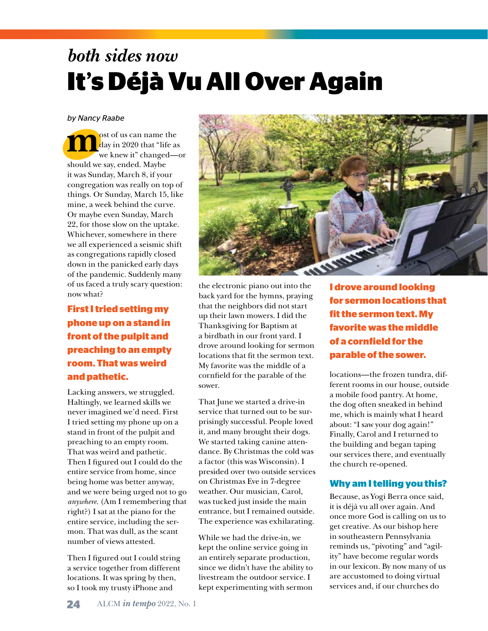# both sides now<br>**It's Déjà Vu All Over Again** *both sides now*

#### **0-25-100-0 100-22-22-0 0-80-100-0** *by Nancy Raabe*

**m**ost of us can name the<br>day in 2020 that "life as<br>we knew it" changed day in 2020 that "life as we knew it" changed—or should we say, ended. Maybe it was Sunday, March 8, if your congregation was really on top of things. Or Sunday, March 15, like mine, a week behind the curve. Or maybe even Sunday, March 22, for those slow on the uptake. Whichever, somewhere in there we all experienced a seismic shift as congregations rapidly closed down in the panicked early days of the pandemic. Suddenly many of us faced a truly scary question: now what?

### **First I tried setting my phone up on a stand in front of the pulpit and preaching to an empty room. That was weird and pathetic.**

Lacking answers, we struggled. Haltingly, we learned skills we never imagined we'd need. First I tried setting my phone up on a stand in front of the pulpit and preaching to an empty room. That was weird and pathetic. Then I figured out I could do the entire service from home, since being home was better anyway, and we were being urged not to go *anywhere.* (Am I remembering that right?) I sat at the piano for the entire service, including the sermon. That was dull, as the scant number of views attested.

Then I figured out I could string a service together from different locations. It was spring by then, so I took my trusty iPhone and



the electronic piano out into the back yard for the hymns, praying that the neighbors did not start up their lawn mowers. I did the Thanksgiving for Baptism at a birdbath in our front yard. I drove around looking for sermon locations that fit the sermon text. My favorite was the middle of a cornfield for the parable of the sower.

That June we started a drive-in service that turned out to be surprisingly successful. People loved it, and many brought their dogs. We started taking canine attendance. By Christmas the cold was a factor (this was Wisconsin). I presided over two outside services on Christmas Eve in 7-degree weather. Our musician, Carol, was tucked just inside the main entrance, but I remained outside. The experience was exhilarating.

While we had the drive-in, we kept the online service going in an entirely separate production, since we didn't have the ability to livestream the outdoor service. I kept experimenting with sermon

**I drove around looking for sermon locations that fit the sermon text. My favorite was the middle of a cornfield for the parable of the sower.** 

locations—the frozen tundra, different rooms in our house, outside a mobile food pantry. At home, the dog often sneaked in behind me, which is mainly what I heard about: "I saw your dog again!" Finally, Carol and I returned to the building and began taping our services there, and eventually the church re-opened.

#### **Why am I telling you this?**

Because, as Yogi Berra once said, it is déjà vu all over again. And once more God is calling on us to get creative. As our bishop here in southeastern Pennsylvania reminds us, "pivoting" and "agility" have become regular words in our lexicon. By now many of us are accustomed to doing virtual services and, if our churches do